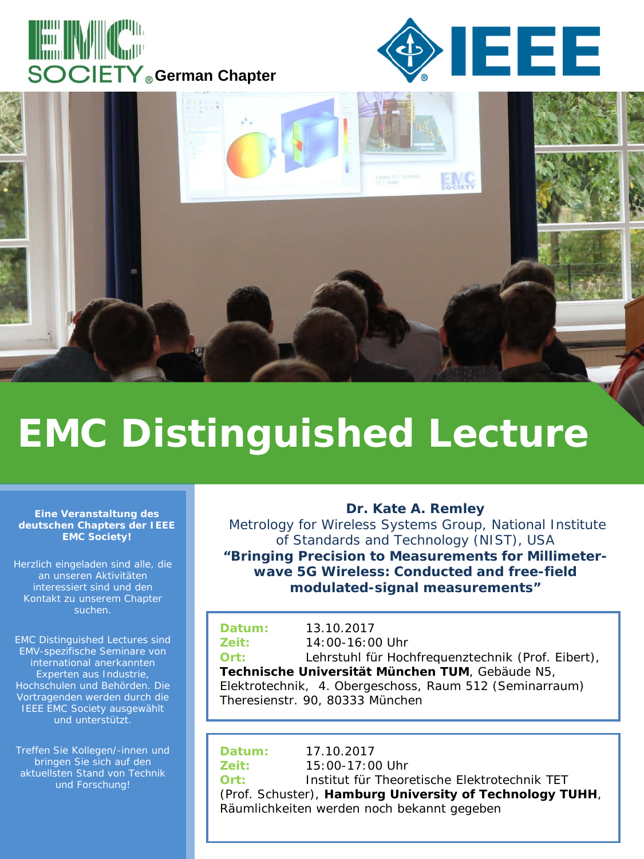





## **EMC Distinguished Lecture**

## **Eine Veranstaltung des deutschen Chapters der IEEE EMC Society!**

Herzlich eingeladen sind alle, die an unseren Aktivitäten interessiert sind und den Kontakt zu unserem Chapter suchen.

EMC Distinguished Lectures sind EMV-spezifische Seminare von international anerkannten Experten aus Industrie, Hochschulen und Behörden. Die Vortragenden werden durch die IEEE EMC Society ausgewählt und unterstützt.

Treffen Sie Kollegen/-innen und bringen Sie sich auf den aktuellsten Stand von Technik und Forschung!

## **Dr. Kate A. Remley**

Metrology for Wireless Systems Group, National Institute of Standards and Technology (NIST), USA **"Bringing Precision to Measurements for Millimeterwave 5G Wireless: Conducted and free-field modulated-signal measurements"** 

| Datum:                                          | 13.10.2017                                              |
|-------------------------------------------------|---------------------------------------------------------|
| Zeit:                                           | $14:00-16:00$ Uhr                                       |
| Ort:                                            | Lehrstuhl für Hochfrequenztechnik (Prof. Eibert),       |
| Technische Universität München TUM, Gebäude N5, |                                                         |
|                                                 | Elektrotechnik, 4. Obergeschoss, Raum 512 (Seminarraum) |

Theresienstr. 90, 80333 München

**Datum:** 17.10.2017 **Zeit:** 15:00-17:00 Uhr **Ort:** Institut für Theoretische Elektrotechnik TET (Prof. Schuster), **Hamburg University of Technology TUHH**, Räumlichkeiten werden noch bekannt gegeben